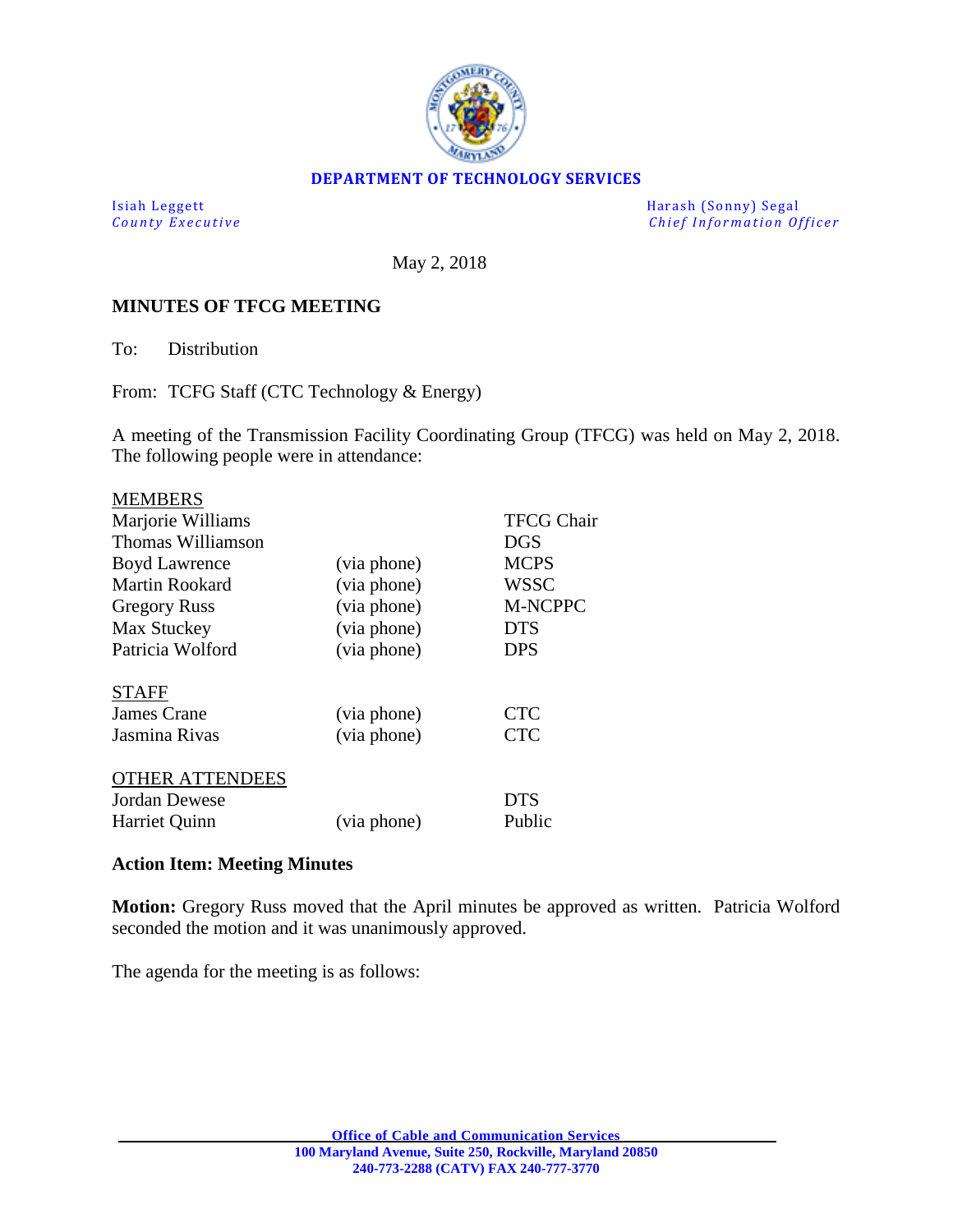

#### **DEPARTMENT OF TECHNOLOGY SERVICES**

Isiah Leggett<br>
County Executive County Executive<br>
County Executive Chief Information Of *Chief Information Officer* 

May 2, 2018

### **MINUTES OF TFCG MEETING**

To: Distribution

From: TCFG Staff (CTC Technology & Energy)

A meeting of the Transmission Facility Coordinating Group (TFCG) was held on May 2, 2018. The following people were in attendance:

|             | <b>TFCG Chair</b> |
|-------------|-------------------|
|             | <b>DGS</b>        |
| (via phone) | <b>MCPS</b>       |
| (via phone) | <b>WSSC</b>       |
| (via phone) | <b>M-NCPPC</b>    |
| (via phone) | <b>DTS</b>        |
| (via phone) | <b>DPS</b>        |
|             |                   |
|             | <b>CTC</b>        |
| (via phone) | <b>CTC</b>        |
|             |                   |
|             | <b>DTS</b>        |
| (via phone) | Public            |
|             | (via phone)       |

#### **Action Item: Meeting Minutes**

**Motion:** Gregory Russ moved that the April minutes be approved as written. Patricia Wolford seconded the motion and it was unanimously approved.

The agenda for the meeting is as follows: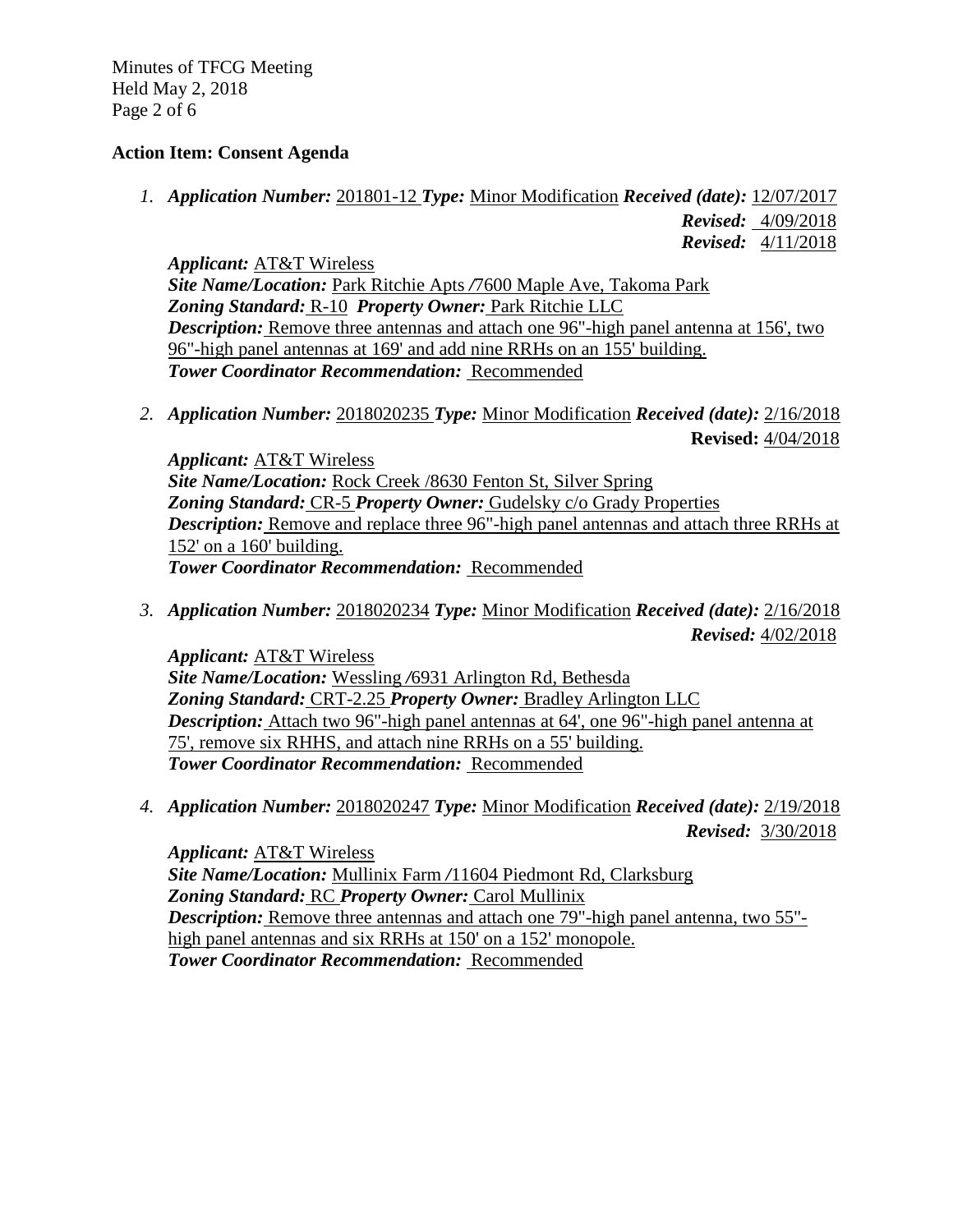Minutes of TFCG Meeting Held May 2, 2018 Page 2 of 6

## **Action Item: Consent Agenda**

*1. Application Number:* 201801-12 *Type:* Minor Modification *Received (date):* 12/07/2017

 *Revised:* 4/09/2018  *Revised:* 4/11/2018

*Applicant:* AT&T Wireless

*Site Name/Location:* Park Ritchie Apts */*7600 Maple Ave, Takoma Park *Zoning Standard:* R-10 *Property Owner:* Park Ritchie LLC *Description:* Remove three antennas and attach one 96"-high panel antenna at 156', two 96"-high panel antennas at 169' and add nine RRHs on an 155' building. *Tower Coordinator Recommendation:* Recommended

*2. Application Number:* 2018020235 *Type:* Minor Modification *Received (date):* 2/16/2018 **Revised:** 4/04/2018

*Applicant:* AT&T Wireless *Site Name/Location:* Rock Creek /8630 Fenton St, Silver Spring *Zoning Standard:* CR-5 *Property Owner:* Gudelsky c/o Grady Properties *Description:* Remove and replace three 96"-high panel antennas and attach three RRHs at 152' on a 160' building. *Tower Coordinator Recommendation:* Recommended

*3. Application Number:* 2018020234 *Type:* Minor Modification *Received (date):* 2/16/2018  *Revised:* 4/02/2018

*Applicant:* AT&T Wireless *Site Name/Location:* Wessling */*6931 Arlington Rd, Bethesda *Zoning Standard:* CRT-2.25 *Property Owner:* Bradley Arlington LLC *Description:* Attach two 96"-high panel antennas at 64', one 96"-high panel antenna at 75', remove six RHHS, and attach nine RRHs on a 55' building. *Tower Coordinator Recommendation:* Recommended

*4. Application Number:* 2018020247 *Type:* Minor Modification *Received (date):* 2/19/2018  *Revised:* 3/30/2018

*Applicant:* AT&T Wireless *Site Name/Location:* Mullinix Farm */*11604 Piedmont Rd, Clarksburg *Zoning Standard:* RC *Property Owner:* Carol Mullinix *Description:* Remove three antennas and attach one 79"-high panel antenna, two 55" high panel antennas and six RRHs at 150' on a 152' monopole. *Tower Coordinator Recommendation:* Recommended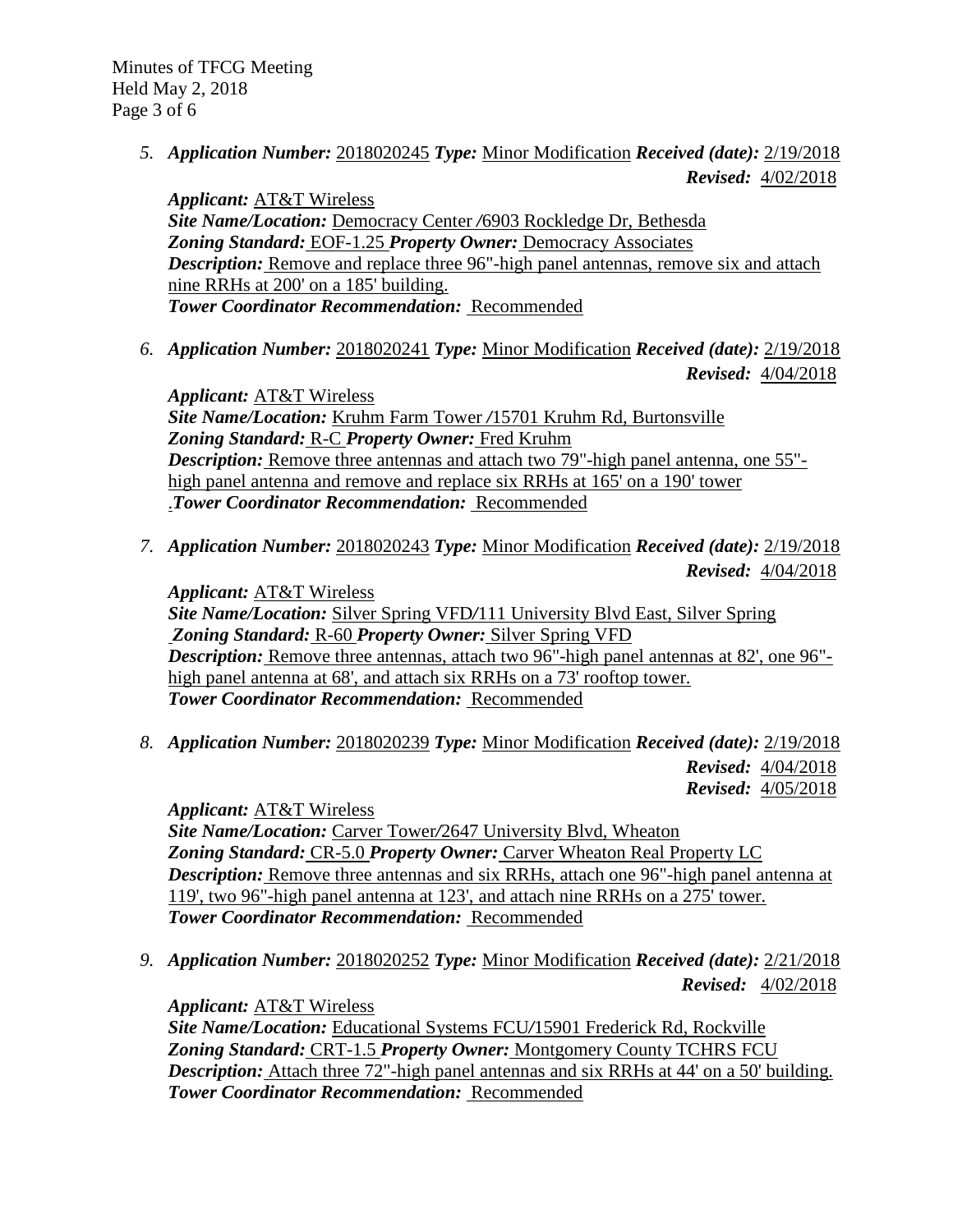*5. Application Number:* 2018020245 *Type:* Minor Modification *Received (date):* 2/19/2018  *Revised:* 4/02/2018

*Applicant:* AT&T Wireless *Site Name/Location:* Democracy Center */*6903 Rockledge Dr, Bethesda *Zoning Standard:* EOF-1.25 *Property Owner:* Democracy Associates *Description:* Remove and replace three 96"-high panel antennas, remove six and attach nine RRHs at 200' on a 185' building. *Tower Coordinator Recommendation:* Recommended

*6. Application Number:* 2018020241 *Type:* Minor Modification *Received (date):* 2/19/2018  *Revised:* 4/04/2018

*Applicant:* AT&T Wireless *Site Name/Location:* Kruhm Farm Tower */*15701 Kruhm Rd, Burtonsville *Zoning Standard:* R-C *Property Owner:* Fred Kruhm *Description:* Remove three antennas and attach two 79"-high panel antenna, one 55" high panel antenna and remove and replace six RRHs at 165' on a 190' tower .*Tower Coordinator Recommendation:* Recommended

*7. Application Number:* 2018020243 *Type:* Minor Modification *Received (date):* 2/19/2018  *Revised:* 4/04/2018

*Applicant:* AT&T Wireless *Site Name/Location:* Silver Spring VFD*/*111 University Blvd East, Silver Spring *Zoning Standard:* R-60 *Property Owner:* Silver Spring VFD *Description:* Remove three antennas, attach two 96"-high panel antennas at 82', one 96"high panel antenna at 68', and attach six RRHs on a 73' rooftop tower. *Tower Coordinator Recommendation:* Recommended

*8. Application Number:* 2018020239 *Type:* Minor Modification *Received (date):* 2/19/2018  *Revised:* 4/04/2018  *Revised:* 4/05/2018

*Applicant:* AT&T Wireless *Site Name/Location:* Carver Tower*/*2647 University Blvd, Wheaton *Zoning Standard:* CR-5.0 *Property Owner:* Carver Wheaton Real Property LC *Description:* Remove three antennas and six RRHs, attach one 96"-high panel antenna at 119', two 96"-high panel antenna at 123', and attach nine RRHs on a 275' tower. *Tower Coordinator Recommendation:* Recommended

*9. Application Number:* 2018020252 *Type:* Minor Modification *Received (date):* 2/21/2018  *Revised:* 4/02/2018

*Applicant:* AT&T Wireless *Site Name/Location:* Educational Systems FCU*/*15901 Frederick Rd, Rockville *Zoning Standard:* CRT-1.5 *Property Owner:* Montgomery County TCHRS FCU *Description:* Attach three 72"-high panel antennas and six RRHs at 44' on a 50' building. *Tower Coordinator Recommendation:* Recommended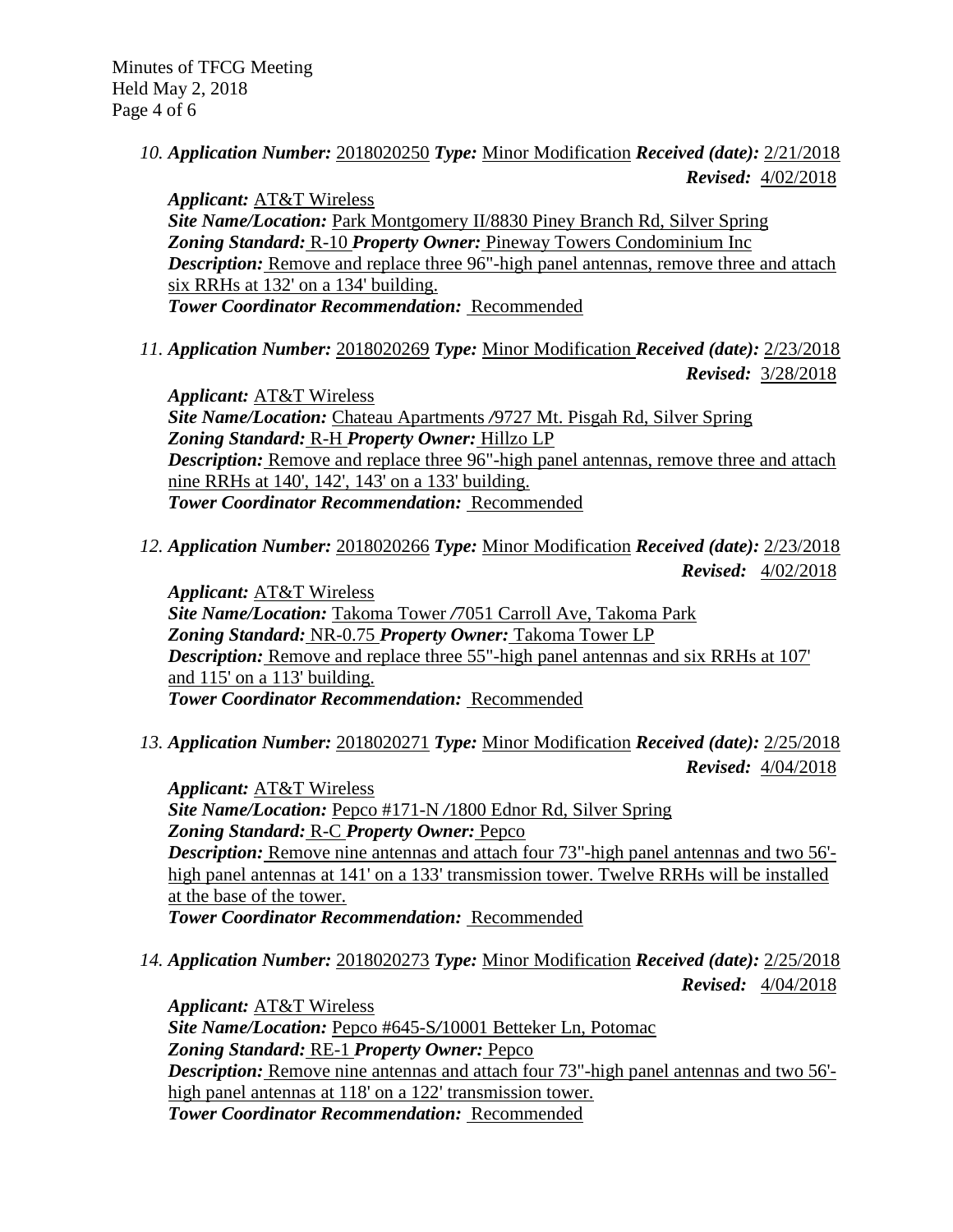*10. Application Number:* 2018020250 *Type:* Minor Modification *Received (date):* 2/21/2018  *Revised:* 4/02/2018

*Applicant:* AT&T Wireless *Site Name/Location:* Park Montgomery II/8830 Piney Branch Rd, Silver Spring *Zoning Standard:* R-10 *Property Owner:* Pineway Towers Condominium Inc *Description:* Remove and replace three 96"-high panel antennas, remove three and attach six RRHs at 132' on a 134' building. *Tower Coordinator Recommendation:* Recommended

*11. Application Number:* 2018020269 *Type:* Minor Modification *Received (date):* 2/23/2018  *Revised:* 3/28/2018

*Applicant:* AT&T Wireless *Site Name/Location:* Chateau Apartments */*9727 Mt. Pisgah Rd, Silver Spring *Zoning Standard:* R-H *Property Owner:* Hillzo LP *Description:* Remove and replace three 96"-high panel antennas, remove three and attach nine RRHs at 140', 142', 143' on a 133' building. *Tower Coordinator Recommendation:* Recommended

*12. Application Number:* 2018020266 *Type:* Minor Modification *Received (date):* 2/23/2018  *Revised:* 4/02/2018

*Applicant:* AT&T Wireless *Site Name/Location:* Takoma Tower */*7051 Carroll Ave, Takoma Park *Zoning Standard:* NR-0.75 *Property Owner:* Takoma Tower LP **Description:** Remove and replace three 55"-high panel antennas and six RRHs at 107' and 115' on a 113' building. *Tower Coordinator Recommendation:* Recommended

*13. Application Number:* 2018020271 *Type:* Minor Modification *Received (date):* 2/25/2018  *Revised:* 4/04/2018

*Applicant:* AT&T Wireless *Site Name/Location:* Pepco #171-N */*1800 Ednor Rd, Silver Spring *Zoning Standard:* R-C *Property Owner:* Pepco *Description:* Remove nine antennas and attach four 73"-high panel antennas and two 56' high panel antennas at 141' on a 133' transmission tower. Twelve RRHs will be installed at the base of the tower. *Tower Coordinator Recommendation:* Recommended

*14. Application Number:* 2018020273 *Type:* Minor Modification *Received (date):* 2/25/2018  *Revised:* 4/04/2018

*Applicant:* AT&T Wireless *Site Name/Location:* Pepco #645-S*/*10001 Betteker Ln, Potomac *Zoning Standard:* RE-1 *Property Owner:* Pepco *Description:* Remove nine antennas and attach four 73"-high panel antennas and two 56' high panel antennas at 118' on a 122' transmission tower. *Tower Coordinator Recommendation:* Recommended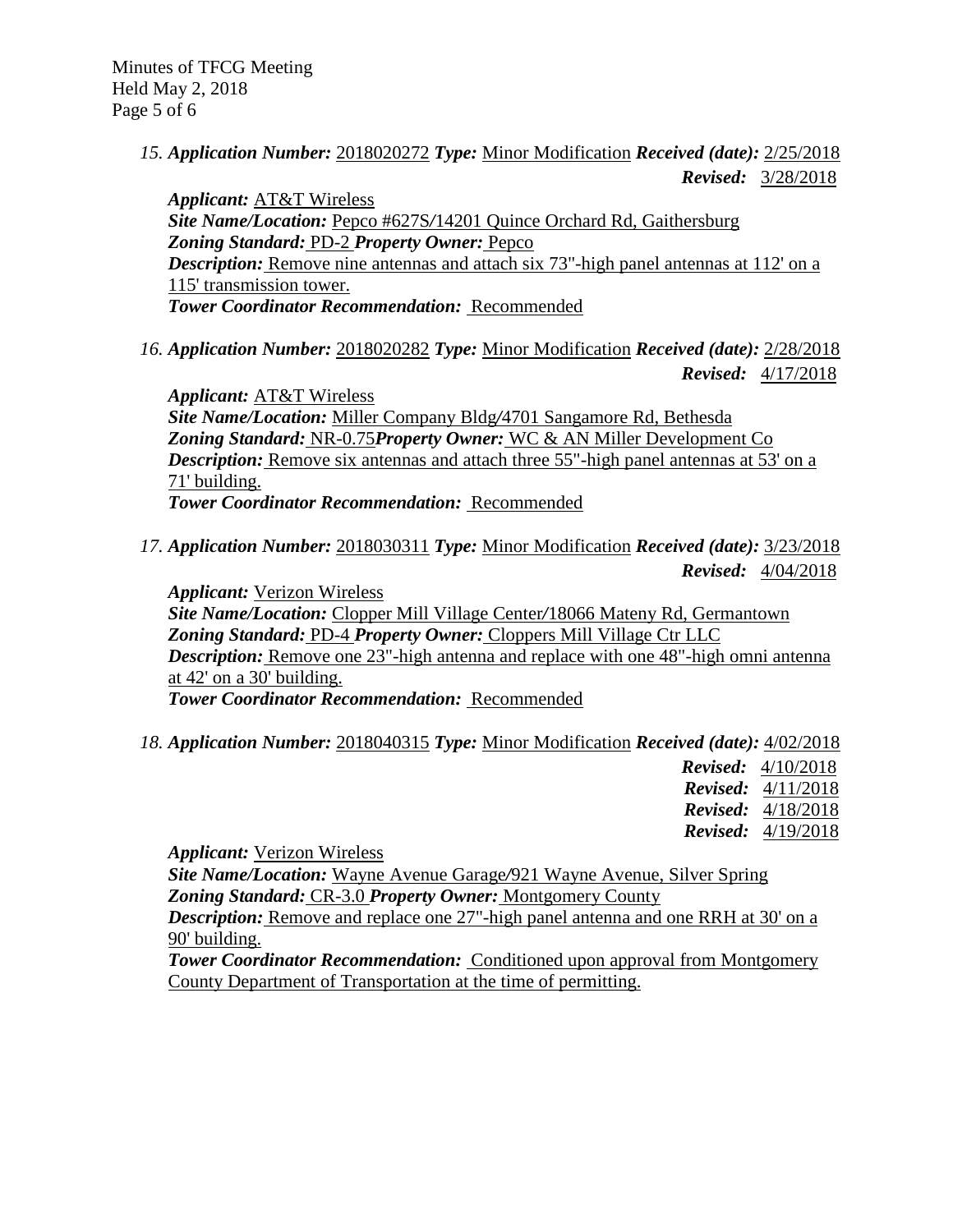Minutes of TFCG Meeting Held May 2, 2018 Page 5 of 6

> *15. Application Number:* 2018020272 *Type:* Minor Modification *Received (date):* 2/25/2018  *Revised:* 3/28/2018

*Applicant:* AT&T Wireless *Site Name/Location:* Pepco #627S*/*14201 Quince Orchard Rd, Gaithersburg *Zoning Standard:* PD-2 *Property Owner:* Pepco *Description:* Remove nine antennas and attach six 73"-high panel antennas at 112' on a 115' transmission tower. *Tower Coordinator Recommendation:* Recommended

*16. Application Number:* 2018020282 *Type:* Minor Modification *Received (date):* 2/28/2018  *Revised:* 4/17/2018

*Applicant:* AT&T Wireless *Site Name/Location:* Miller Company Bldg*/*4701 Sangamore Rd, Bethesda *Zoning Standard:* NR-0.75*Property Owner:* WC & AN Miller Development Co *Description:* Remove six antennas and attach three 55"-high panel antennas at 53' on a 71' building. *Tower Coordinator Recommendation:* Recommended

*17. Application Number:* 2018030311 *Type:* Minor Modification *Received (date):* 3/23/2018  *Revised:* 4/04/2018

*Applicant:* Verizon Wireless *Site Name/Location:* Clopper Mill Village Center*/*18066 Mateny Rd, Germantown *Zoning Standard:* PD-4 *Property Owner:* Cloppers Mill Village Ctr LLC *Description:* Remove one 23"-high antenna and replace with one 48"-high omni antenna at 42' on a 30' building. *Tower Coordinator Recommendation:* Recommended

*18. Application Number:* 2018040315 *Type:* Minor Modification *Received (date):* 4/02/2018

| <b>Revised:</b> $4/10/2018$ |
|-----------------------------|
| <b>Revised:</b> $4/11/2018$ |
| <b>Revised:</b> $4/18/2018$ |
| <b>Revised:</b> $4/19/2018$ |

*Applicant:* Verizon Wireless

*Site Name/Location:* Wayne Avenue Garage*/*921 Wayne Avenue, Silver Spring *Zoning Standard:* CR-3.0 *Property Owner:* Montgomery County

*Description:* Remove and replace one 27"-high panel antenna and one RRH at 30' on a 90' building.

*Tower Coordinator Recommendation:* Conditioned upon approval from Montgomery County Department of Transportation at the time of permitting.